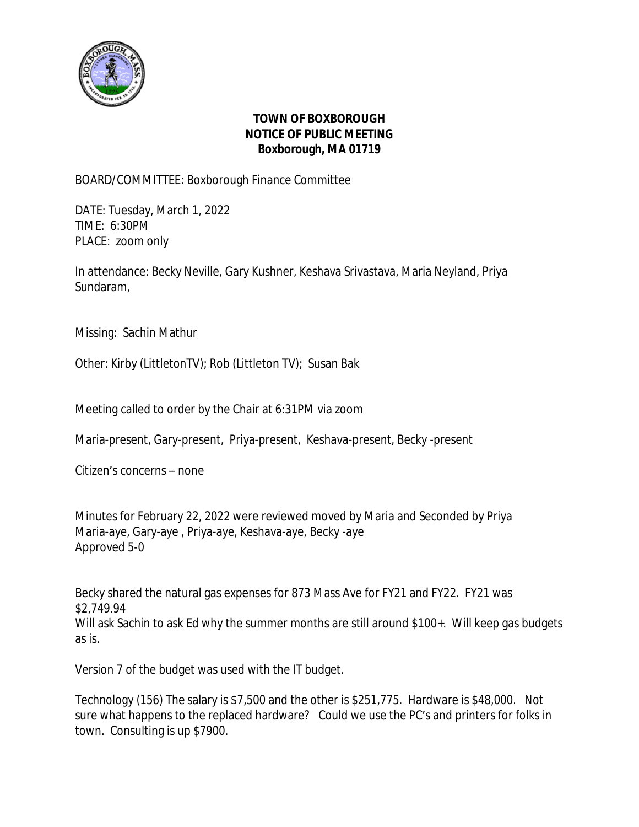

## **TOWN OF BOXBOROUGH NOTICE OF PUBLIC MEETING Boxborough, MA 01719**

BOARD/COMMITTEE: Boxborough Finance Committee

DATE: Tuesday, March 1, 2022 TIME: 6:30PM PLACE: zoom only

In attendance: Becky Neville, Gary Kushner, Keshava Srivastava, Maria Neyland, Priya Sundaram,

Missing: Sachin Mathur

Other: Kirby (LittletonTV); Rob (Littleton TV); Susan Bak

Meeting called to order by the Chair at 6:31PM via zoom

Maria-present, Gary-present, Priya-present, Keshava-present, Becky -present

Citizen's concerns – none

Minutes for February 22, 2022 were reviewed moved by Maria and Seconded by Priya Maria-aye, Gary-aye , Priya-aye, Keshava-aye, Becky -aye Approved 5-0

Becky shared the natural gas expenses for 873 Mass Ave for FY21 and FY22. FY21 was \$2,749.94 Will ask Sachin to ask Ed why the summer months are still around \$100+. Will keep gas budgets as is.

Version 7 of the budget was used with the IT budget.

Technology (156) The salary is \$7,500 and the other is \$251,775. Hardware is \$48,000. Not sure what happens to the replaced hardware? Could we use the PC's and printers for folks in town. Consulting is up \$7900.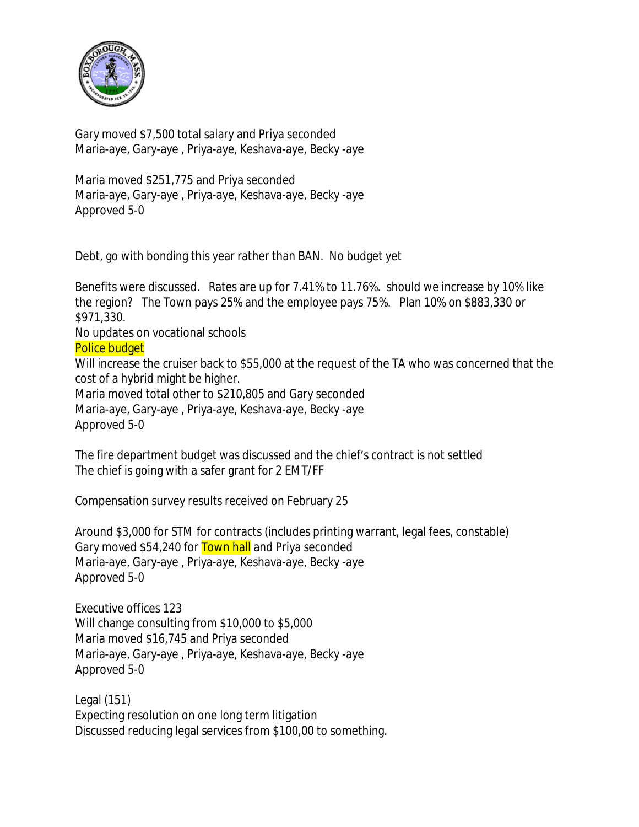

Gary moved \$7,500 total salary and Priya seconded Maria-aye, Gary-aye , Priya-aye, Keshava-aye, Becky -aye

Maria moved \$251,775 and Priya seconded Maria-aye, Gary-aye , Priya-aye, Keshava-aye, Becky -aye Approved 5-0

Debt, go with bonding this year rather than BAN. No budget yet

Benefits were discussed. Rates are up for 7.41% to 11.76%. should we increase by 10% like the region? The Town pays 25% and the employee pays 75%. Plan 10% on \$883,330 or \$971,330.

No updates on vocational schools

Police budget

Will increase the cruiser back to \$55,000 at the request of the TA who was concerned that the cost of a hybrid might be higher.

Maria moved total other to \$210,805 and Gary seconded Maria-aye, Gary-aye , Priya-aye, Keshava-aye, Becky -aye Approved 5-0

The fire department budget was discussed and the chief's contract is not settled The chief is going with a safer grant for 2 EMT/FF

Compensation survey results received on February 25

Around \$3,000 for STM for contracts (includes printing warrant, legal fees, constable) Gary moved \$54,240 for **Town hall** and Priya seconded Maria-aye, Gary-aye , Priya-aye, Keshava-aye, Becky -aye Approved 5-0

Executive offices 123 Will change consulting from \$10,000 to \$5,000 Maria moved \$16,745 and Priya seconded Maria-aye, Gary-aye , Priya-aye, Keshava-aye, Becky -aye Approved 5-0

Legal (151) Expecting resolution on one long term litigation Discussed reducing legal services from \$100,00 to something.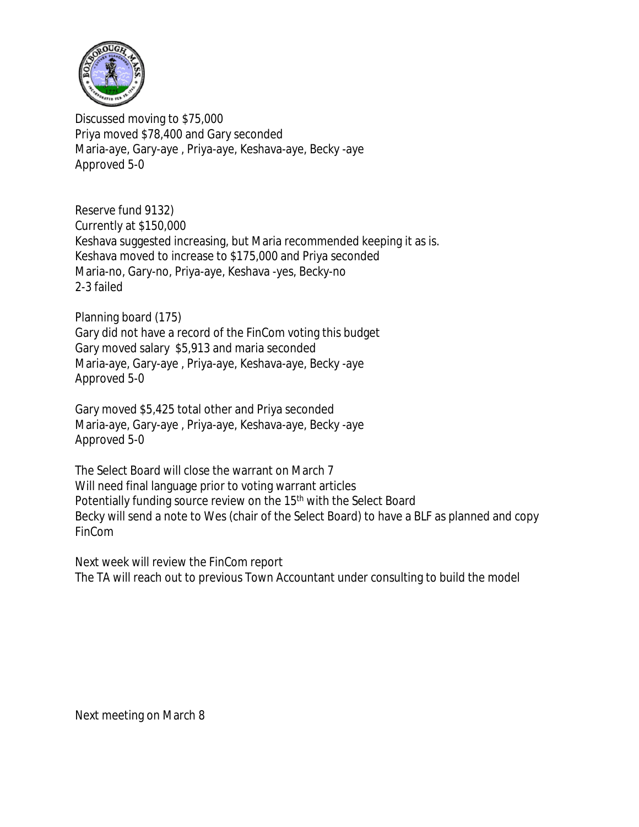

Discussed moving to \$75,000 Priya moved \$78,400 and Gary seconded Maria-aye, Gary-aye , Priya-aye, Keshava-aye, Becky -aye Approved 5-0

Reserve fund 9132) Currently at \$150,000 Keshava suggested increasing, but Maria recommended keeping it as is. Keshava moved to increase to \$175,000 and Priya seconded Maria-no, Gary-no, Priya-aye, Keshava -yes, Becky-no 2-3 failed

Planning board (175)

Gary did not have a record of the FinCom voting this budget Gary moved salary \$5,913 and maria seconded Maria-aye, Gary-aye , Priya-aye, Keshava-aye, Becky -aye Approved 5-0

Gary moved \$5,425 total other and Priya seconded Maria-aye, Gary-aye , Priya-aye, Keshava-aye, Becky -aye Approved 5-0

The Select Board will close the warrant on March 7 Will need final language prior to voting warrant articles Potentially funding source review on the 15<sup>th</sup> with the Select Board Becky will send a note to Wes (chair of the Select Board) to have a BLF as planned and copy FinCom

Next week will review the FinCom report The TA will reach out to previous Town Accountant under consulting to build the model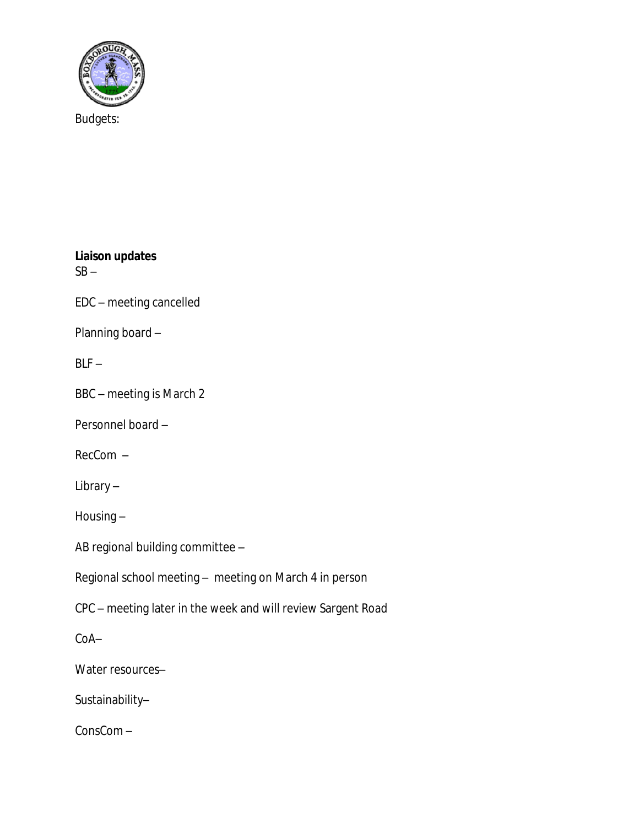

Budgets:

**Liaison updates**  $SB -$ 

EDC – meeting cancelled

Planning board –

 $BLF -$ 

BBC – meeting is March 2

Personnel board –

RecCom –

Library –

Housing –

AB regional building committee –

Regional school meeting – meeting on March 4 in person

CPC – meeting later in the week and will review Sargent Road

CoA–

Water resources-

Sustainability–

ConsCom –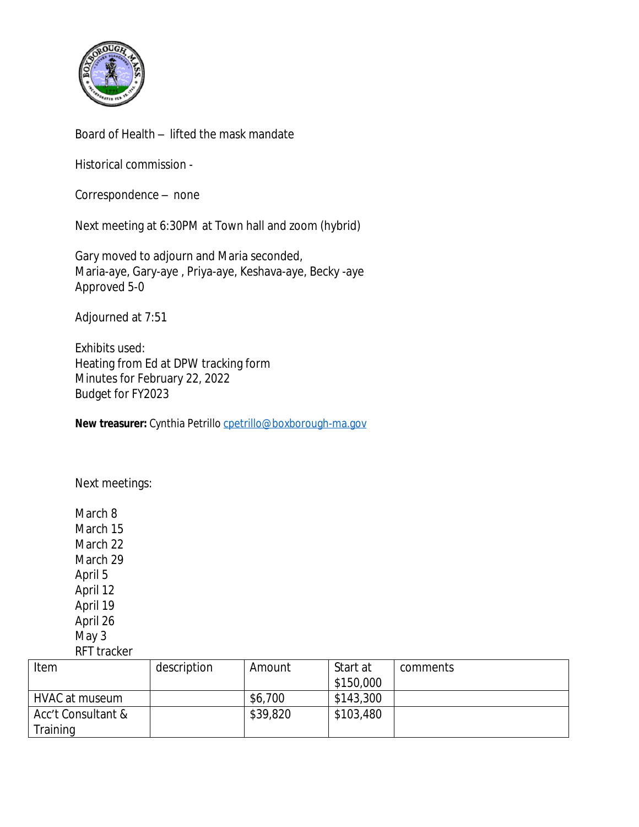

Board of Health – lifted the mask mandate

Historical commission -

Correspondence – none

Next meeting at 6:30PM at Town hall and zoom (hybrid)

Gary moved to adjourn and Maria seconded, Maria-aye, Gary-aye , Priya-aye, Keshava-aye, Becky -aye Approved 5-0

Adjourned at 7:51

Exhibits used: Heating from Ed at DPW tracking form Minutes for February 22, 2022 Budget for FY2023

New treasurer: Cynthia Petrillo [cpetrillo@boxborough-ma.gov](mailto:cpetrillo@boxborough-ma.gov)

[Next meetings:](mailto:cpetrillo@boxborough-ma.gov)

[March 8](mailto:cpetrillo@boxborough-ma.gov) [March 15](mailto:cpetrillo@boxborough-ma.gov) [March 22](mailto:cpetrillo@boxborough-ma.gov) [March 29](mailto:cpetrillo@boxborough-ma.gov) [April 5](mailto:cpetrillo@boxborough-ma.gov) [April 12](mailto:cpetrillo@boxborough-ma.gov) [April 19](mailto:cpetrillo@boxborough-ma.gov) [April 26](mailto:cpetrillo@boxborough-ma.gov) [May 3](mailto:cpetrillo@boxborough-ma.gov) [RFT tracker](mailto:cpetrillo@boxborough-ma.gov)

| Item               | description | Amount   | Start at  | comments |
|--------------------|-------------|----------|-----------|----------|
|                    |             |          | \$150,000 |          |
| HVAC at museum     |             | \$6,700  | \$143,300 |          |
| Acc't Consultant & |             | \$39,820 | \$103,480 |          |
| Training           |             |          |           |          |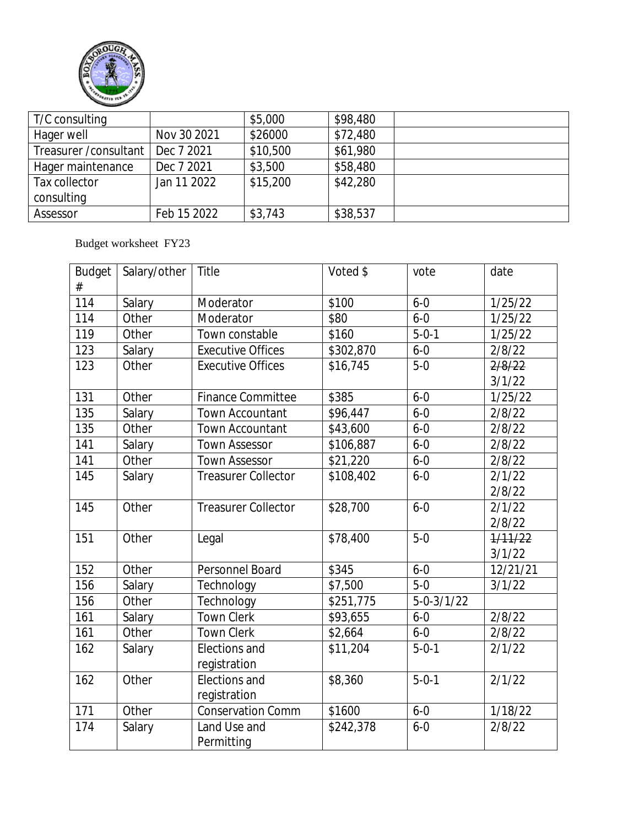

| T/C consulting         |             | \$5,000  | \$98,480 |  |
|------------------------|-------------|----------|----------|--|
| Hager well             | Nov 30 2021 | \$26000  | \$72,480 |  |
| Treasurer / consultant | Dec 7 2021  | \$10,500 | \$61,980 |  |
| Hager maintenance      | Dec 7 2021  | \$3,500  | \$58,480 |  |
| Tax collector          | Jan 11 2022 | \$15,200 | \$42,280 |  |
| consulting             |             |          |          |  |
| Assessor               | Feb 15 2022 | \$3,743  | \$38,537 |  |

## Budget worksheet FY23

| <b>Budget</b> | Salary/other | Title                      | Voted \$  | vote             | date     |
|---------------|--------------|----------------------------|-----------|------------------|----------|
| #             |              |                            |           |                  |          |
| 114           | Salary       | Moderator                  | \$100     | $6 - 0$          | 1/25/22  |
| 114           | Other        | Moderator                  | \$80      | $6 - 0$          | 1/25/22  |
| 119           | Other        | Town constable             | \$160     | $5 - 0 - 1$      | 1/25/22  |
| 123           | Salary       | <b>Executive Offices</b>   | \$302,870 | $6 - 0$          | 2/8/22   |
| 123           | Other        | <b>Executive Offices</b>   | \$16,745  | $5-0$            | 2/8/22   |
|               |              |                            |           |                  | 3/1/22   |
| 131           | Other        | <b>Finance Committee</b>   | \$385     | $6 - 0$          | 1/25/22  |
| 135           | Salary       | <b>Town Accountant</b>     | \$96,447  | $6 - 0$          | 2/8/22   |
| 135           | Other        | Town Accountant            | \$43,600  | $6 - 0$          | 2/8/22   |
| 141           | Salary       | <b>Town Assessor</b>       | \$106,887 | $6 - 0$          | 2/8/22   |
| 141           | Other        | <b>Town Assessor</b>       | \$21,220  | $6 - 0$          | 2/8/22   |
| 145           | Salary       | <b>Treasurer Collector</b> | \$108,402 | $6 - 0$          | 2/1/22   |
|               |              |                            |           |                  | 2/8/22   |
| 145           | Other        | <b>Treasurer Collector</b> | \$28,700  | $6 - 0$          | 2/1/22   |
|               |              |                            |           |                  | 2/8/22   |
| 151           | Other        | Legal                      | \$78,400  | $5-0$            | 1/11/22  |
|               |              |                            |           |                  | 3/1/22   |
| 152           | Other        | Personnel Board            | \$345     | $6 - 0$          | 12/21/21 |
| 156           | Salary       | Technology                 | \$7,500   | $5-0$            | 3/1/22   |
| 156           | Other        | Technology                 | \$251,775 | $5 - 0 - 3/1/22$ |          |
| 161           | Salary       | <b>Town Clerk</b>          | \$93,655  | $6-0$            | 2/8/22   |
| 161           | Other        | <b>Town Clerk</b>          | \$2,664   | $6 - 0$          | 2/8/22   |
| 162           | Salary       | Elections and              | \$11,204  | $5 - 0 - 1$      | 2/1/22   |
|               |              | registration               |           |                  |          |
| 162           | Other        | Elections and              | \$8,360   | $5 - 0 - 1$      | 2/1/22   |
|               |              | registration               |           |                  |          |
| 171           | Other        | <b>Conservation Comm</b>   | \$1600    | $6 - 0$          | 1/18/22  |
| 174           | Salary       | Land Use and               | \$242,378 | $6 - 0$          | 2/8/22   |
|               |              | Permitting                 |           |                  |          |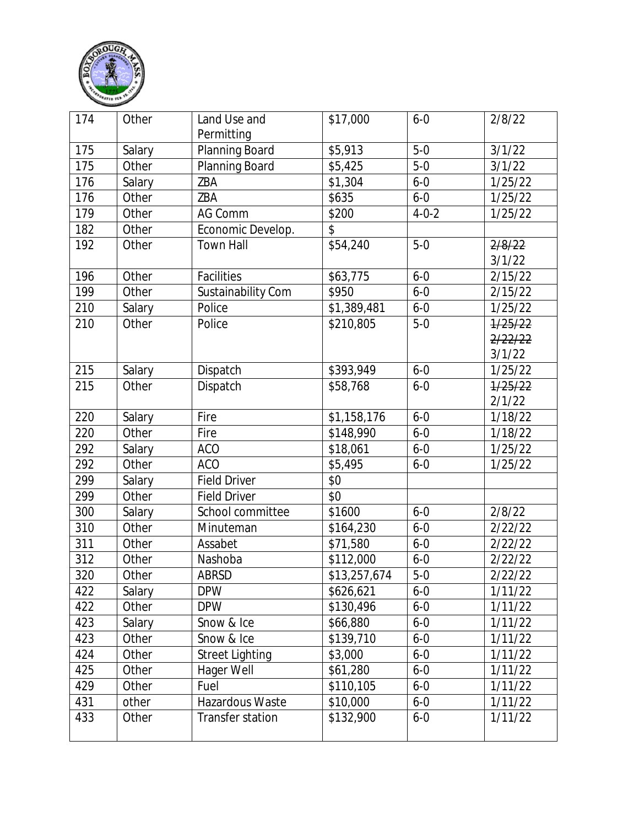

| 174              | Other  | Land Use and<br>Permitting | \$17,000     | $6 - 0$     | 2/8/22  |
|------------------|--------|----------------------------|--------------|-------------|---------|
| 175              | Salary | Planning Board             | \$5,913      | $5-0$       | 3/1/22  |
| 175              | Other  | Planning Board             | \$5,425      | $5-0$       | 3/1/22  |
| 176              | Salary | ZBA                        | \$1,304      | $6 - 0$     | 1/25/22 |
| 176              | Other  | ZBA                        | \$635        | $6 - 0$     | 1/25/22 |
| 179              | Other  | AG Comm                    | \$200        | $4 - 0 - 2$ | 1/25/22 |
| 182              | Other  | Economic Develop.          | \$           |             |         |
| 192              | Other  | <b>Town Hall</b>           | \$54,240     | $5-0$       | 2/8/22  |
|                  |        |                            |              |             | 3/1/22  |
| 196              | Other  | Facilities                 | \$63,775     | $6 - 0$     | 2/15/22 |
| 199              | Other  | Sustainability Com         | \$950        | $6 - 0$     | 2/15/22 |
| 210              | Salary | Police                     | \$1,389,481  | $6 - 0$     | 1/25/22 |
| 210              | Other  | Police                     | \$210,805    | $5-0$       | 1/25/22 |
|                  |        |                            |              |             | 2/22/22 |
|                  |        |                            |              |             | 3/1/22  |
| 215              | Salary | Dispatch                   | \$393,949    | $6 - 0$     | 1/25/22 |
| 215              | Other  | Dispatch                   | \$58,768     | $6 - 0$     | 1/25/22 |
|                  |        |                            |              |             | 2/1/22  |
| 220              | Salary | Fire                       | \$1,158,176  | $6 - 0$     | 1/18/22 |
| 220              | Other  | Fire                       | \$148,990    | $6 - 0$     | 1/18/22 |
| 292              | Salary | <b>ACO</b>                 | \$18,061     | $6 - 0$     | 1/25/22 |
| 292              | Other  | <b>ACO</b>                 | \$5,495      | $6 - 0$     | 1/25/22 |
| 299              | Salary | <b>Field Driver</b>        | \$0          |             |         |
| 299              | Other  | <b>Field Driver</b>        | \$0          |             |         |
| 300              | Salary | School committee           | \$1600       | $6 - 0$     | 2/8/22  |
| 310              | Other  | Minuteman                  | \$164,230    | $6 - 0$     | 2/22/22 |
| 311              | Other  | Assabet                    | \$71,580     | $6 - 0$     | 2/22/22 |
| $\overline{312}$ | Other  | Nashoba                    | \$112,000    | $6 - 0$     | 2/22/22 |
| 320              | Other  | ABRSD                      | \$13,257,674 | $5-0$       | 2/22/22 |
| 422              | Salary | <b>DPW</b>                 | \$626,621    | $6 - 0$     | 1/11/22 |
| 422              | Other  | <b>DPW</b>                 | \$130,496    | $6 - 0$     | 1/11/22 |
| 423              | Salary | Snow & Ice                 | \$66,880     | $6 - 0$     | 1/11/22 |
| 423              | Other  | Snow & Ice                 | \$139,710    | $6 - 0$     | 1/11/22 |
| 424              | Other  | <b>Street Lighting</b>     | \$3,000      | $6 - 0$     | 1/11/22 |
| 425              | Other  | Hager Well                 | \$61,280     | $6 - 0$     | 1/11/22 |
| 429              | Other  | Fuel                       | \$110,105    | $6 - 0$     | 1/11/22 |
| 431              | other  | Hazardous Waste            | \$10,000     | $6 - 0$     | 1/11/22 |
| 433              | Other  | Transfer station           | \$132,900    | $6 - 0$     | 1/11/22 |